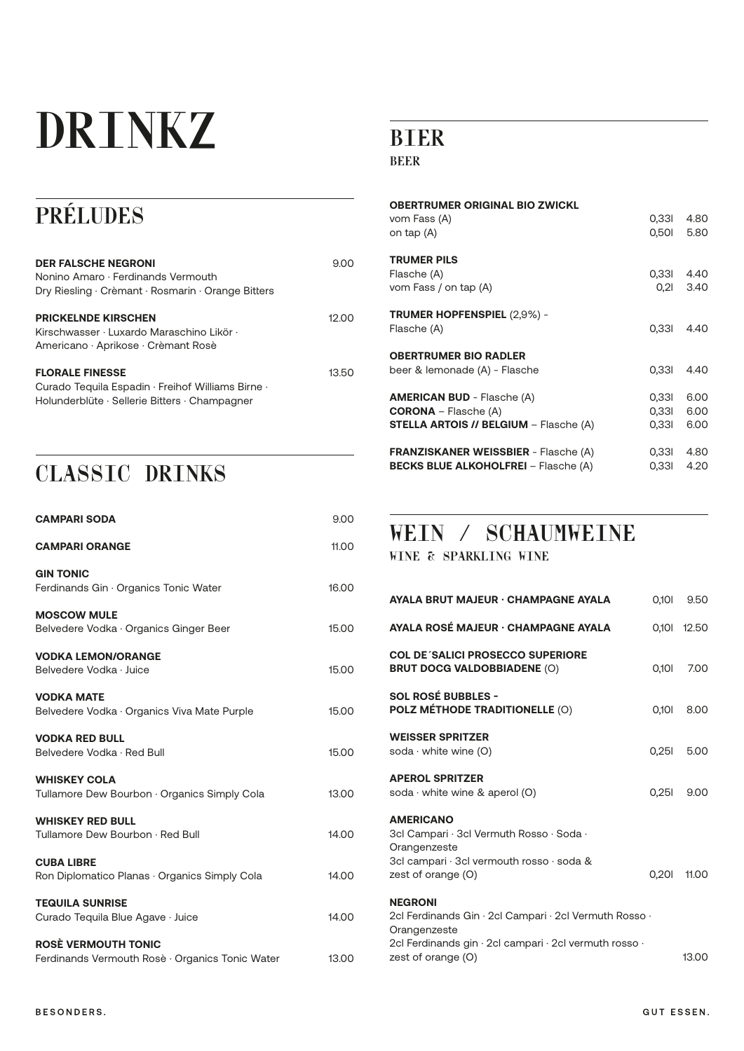# DRINK

# PRÉLUDES

| <b>DER FALSCHE NEGRONI</b><br>Nonino Amaro · Ferdinands Vermouth<br>Dry Riesling · Crèmant · Rosmarin · Orange Bitters       | 9.00   |
|------------------------------------------------------------------------------------------------------------------------------|--------|
| <b>PRICKELNDE KIRSCHEN</b><br>Kirschwasser · Luxardo Maraschino Likör ·<br>Americano · Aprikose · Crèmant Rosè               | 12 O.O |
| <b>FLORALE FINESSE</b><br>Curado Tequila Espadin · Freihof Williams Birne ·<br>Holunderblüte · Sellerie Bitters · Champagner | 13.50  |

## CLASSIC DRINKS

| <b>CAMPARI SODA</b>                                                           | 9.00  |
|-------------------------------------------------------------------------------|-------|
| <b>CAMPARI ORANGE</b>                                                         | 11.00 |
| <b>GIN TONIC</b><br>Ferdinands Gin · Organics Tonic Water                     | 16.00 |
| <b>MOSCOW MULE</b><br>Belvedere Vodka · Organics Ginger Beer                  | 15.00 |
| <b>VODKA LEMON/ORANGE</b><br>Belvedere Vodka · Juice                          | 15.00 |
| <b>VODKA MATE</b><br>Belvedere Vodka · Organics Viva Mate Purple              | 15.00 |
| <b>VODKA RED BULL</b><br>Belvedere Vodka · Red Bull                           | 15.00 |
| <b>WHISKEY COLA</b><br>Tullamore Dew Bourbon · Organics Simply Cola           | 13.00 |
| <b>WHISKEY RED BULL</b><br>Tullamore Dew Bourbon · Red Bull                   | 14.00 |
| <b>CUBA LIBRE</b><br>Ron Diplomatico Planas · Organics Simply Cola            | 14.00 |
| <b>TEQUILA SUNRISE</b><br>Curado Tequila Blue Agave · Juice                   | 14.00 |
| <b>ROSE VERMOUTH TONIC</b><br>Ferdinands Vermouth Rosè · Organics Tonic Water | 13.00 |

## BIER

#### BEER

| <b>OBERTRUMER ORIGINAL BIO ZWICKL</b><br>vom Fass (A)<br>on tap (A)                                          | 0.331<br>0,501          | 4.80<br>5.80         |
|--------------------------------------------------------------------------------------------------------------|-------------------------|----------------------|
| <b>TRUMER PILS</b><br>Flasche (A)<br>vom Fass / on tap (A)                                                   | 0,331<br>0,21           | 4.40<br>3.40         |
| <b>TRUMER HOPFENSPIEL (2,9%) -</b><br>Flasche (A)                                                            | 0.331                   | 4.40                 |
| <b>OBERTRUMER BIO RADLER</b><br>beer & lemonade (A) - Flasche                                                | 0.331                   | 4.40                 |
| <b>AMERICAN BUD</b> - Flasche (A)<br>$CORONA - Falsehe (A)$<br><b>STELLA ARTOIS // BELGIUM - Flasche (A)</b> | 0,331<br>0,331<br>0,331 | 6.00<br>6.00<br>6.00 |
| <b>FRANZISKANER WEISSBIER - Flasche (A)</b><br><b>BECKS BLUE ALKOHOLFREI - Flasche (A)</b>                   | 0,331<br>0,331          | 4.80<br>4.20         |

## WEIN / SCHAUMWEINE

WINE & SPARKLING WINE

| <b>AYALA BRUT MAJEUR · CHAMPAGNE AYALA</b>                                                                                                      | <b>101.0</b> | 9.50        |
|-------------------------------------------------------------------------------------------------------------------------------------------------|--------------|-------------|
| AYALA ROSÉ MAJEUR · CHAMPAGNE AYALA                                                                                                             |              | 0,101 12.50 |
| <b>COL DE 'SALICI PROSECCO SUPERIORE</b><br><b>BRUT DOCG VALDOBBIADENE (O)</b>                                                                  | <b>IOF.O</b> | 7.00        |
| <b>SOL ROSÉ BUBBLES -</b><br>POLZ MÉTHODE TRADITIONELLE (O)                                                                                     | <b>10f.0</b> | 8.00        |
| <b>WEISSER SPRITZER</b><br>soda $\cdot$ white wine (O)                                                                                          | 0.251        | 5.00        |
| <b>APEROL SPRITZER</b><br>soda $\cdot$ white wine & aperol (O)                                                                                  | 0.251        | 9.00        |
| <b>AMERICANO</b><br>3cl Campari · 3cl Vermuth Rosso · Soda ·<br>Orangenzeste<br>3cl campari · 3cl vermouth rosso · soda &<br>zest of orange (O) | 0,201        | 11.00       |
| <b>NEGRONI</b><br>2cl Ferdinands Gin · 2cl Campari · 2cl Vermuth Rosso ·<br>Orangenzeste                                                        |              |             |
| 2cl Ferdinands gin $\cdot$ 2cl campari $\cdot$ 2cl vermuth rosso $\cdot$<br>zest of orange (O)                                                  |              | 13.00       |